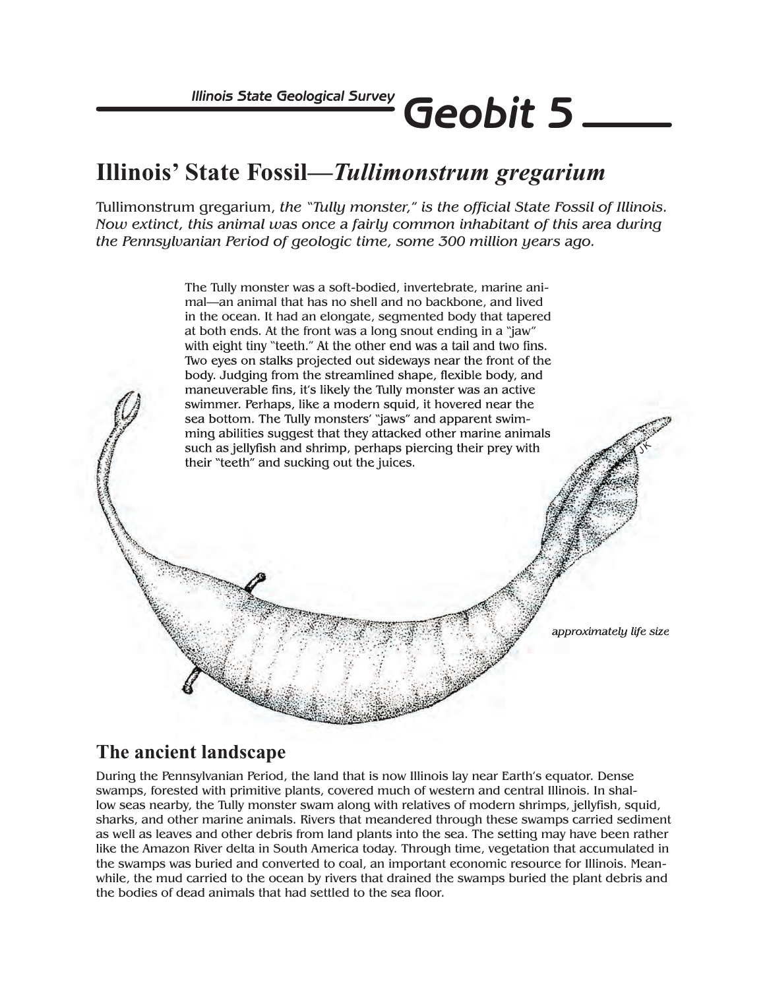## **Illinois' State Fossil***—Tullimonstrum gregarium*

Tullimonstrum gregarium, *the "Tully monster," is the official State Fossil of Illinois. Now extinct, this animal was once a fairly common inhabitant of this area during the Pennsylvanian Period of geologic time, some 300 million years ago.*



## **The ancient landscape**

During the Pennsylvanian Period, the land that is now Illinois lay near Earth's equator. Dense swamps, forested with primitive plants, covered much of western and central Illinois. In shallow seas nearby, the Tully monster swam along with relatives of modern shrimps, jellyfish, squid, sharks, and other marine animals. Rivers that meandered through these swamps carried sediment as well as leaves and other debris from land plants into the sea. The setting may have been rather like the Amazon River delta in South America today. Through time, vegetation that accumulated in the swamps was buried and converted to coal, an important economic resource for Illinois. Meanwhile, the mud carried to the ocean by rivers that drained the swamps buried the plant debris and the bodies of dead animals that had settled to the sea floor.